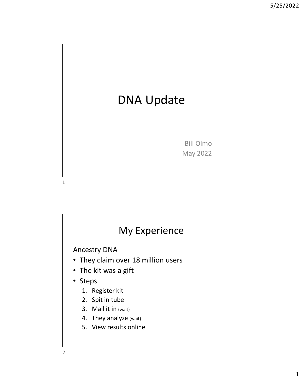

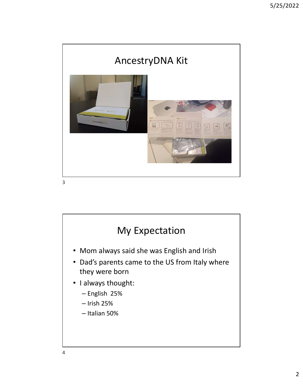

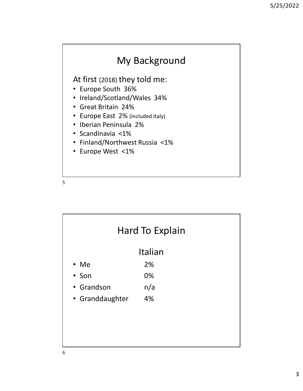## My Background

At first (2018) they told me:

- Europe South 36%
- Ireland/Scotland/Wales 34%
- Great Britain 24%
- Europe East 2% (Included Italy)
- Iberian Peninsula 2%
- Scandinavia <1%
- Finland/Northwest Russia <1%
- Europe West <1%

|   | $\bullet$<br>Finland/Northwest Russia <1%<br>• Europe West <1% |                 |  |
|---|----------------------------------------------------------------|-----------------|--|
| 5 |                                                                |                 |  |
|   |                                                                |                 |  |
|   |                                                                |                 |  |
|   |                                                                | Hard To Explain |  |
|   |                                                                | Italian         |  |
|   | $\cdot$ Me                                                     | 2%              |  |
|   | • Son                                                          | 0%              |  |
|   | • Grandson                                                     | n/a             |  |
|   | • Granddaughter                                                | 4%              |  |
|   |                                                                |                 |  |
|   |                                                                |                 |  |
|   |                                                                |                 |  |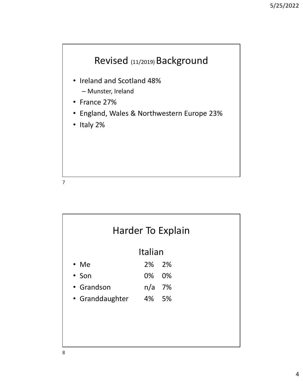

- Ireland and Scotland 48%
	- Munster, Ireland
- France 27%
- England, Wales & Northwestern Europe 23%
- Italy 2%

| 7               |                   |    |  |  |
|-----------------|-------------------|----|--|--|
|                 |                   |    |  |  |
|                 |                   |    |  |  |
|                 | Harder To Explain |    |  |  |
|                 | Italian           |    |  |  |
| • Me            | 2%                | 2% |  |  |
| • Son           | 0%                | 0% |  |  |
| • Grandson      | n/a 7%            |    |  |  |
| • Granddaughter | 4% 5%             |    |  |  |
|                 |                   |    |  |  |
|                 |                   |    |  |  |
|                 |                   |    |  |  |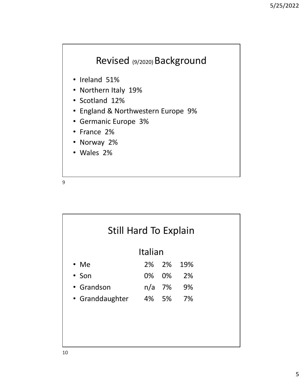## Revised (9/2020) Background

- Ireland 51%
- Northern Italy 19%
- Scotland 12%
- England & Northwestern Europe 9%
- Germanic Europe 3%
- France 2%
- Norway 2%
- Wales 2%

| • Norway 2%<br>• Wales 2% |         |    |     |  |  |
|---------------------------|---------|----|-----|--|--|
| 9                         |         |    |     |  |  |
|                           |         |    |     |  |  |
|                           |         |    |     |  |  |
| Still Hard To Explain     | Italian |    |     |  |  |
| $\cdot$ Me                | 2%      | 2% | 19% |  |  |
| • Son                     | 0%      | 0% | 2%  |  |  |
| • Grandson                | n/a     | 7% | 9%  |  |  |
| • Granddaughter           | 4% 5%   |    | 7%  |  |  |
|                           |         |    |     |  |  |
|                           |         |    |     |  |  |
|                           |         |    |     |  |  |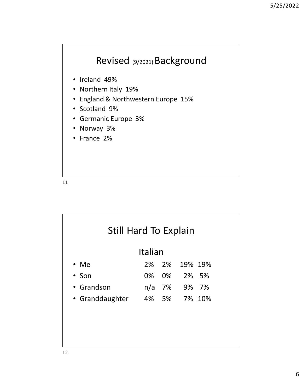

- Ireland 49%
- Northern Italy 19%
- England & Northwestern Europe 15%
- Scotland 9%
- Germanic Europe 3%
- Norway 3%
- France 2%

| 11                    |    |        |  |         |  |
|-----------------------|----|--------|--|---------|--|
|                       |    |        |  |         |  |
|                       |    |        |  |         |  |
| Still Hard To Explain |    |        |  |         |  |
| Italian               |    |        |  |         |  |
| • Me                  | 2% | 2%     |  | 19% 19% |  |
| • Son                 | 0% | 0%     |  | 2% 5%   |  |
| Grandson<br>$\bullet$ |    | n/a 7% |  | 9% 7%   |  |
| • Granddaughter       | 4% | 5%     |  | 7% 10%  |  |
|                       |    |        |  |         |  |
|                       |    |        |  |         |  |
|                       |    |        |  |         |  |